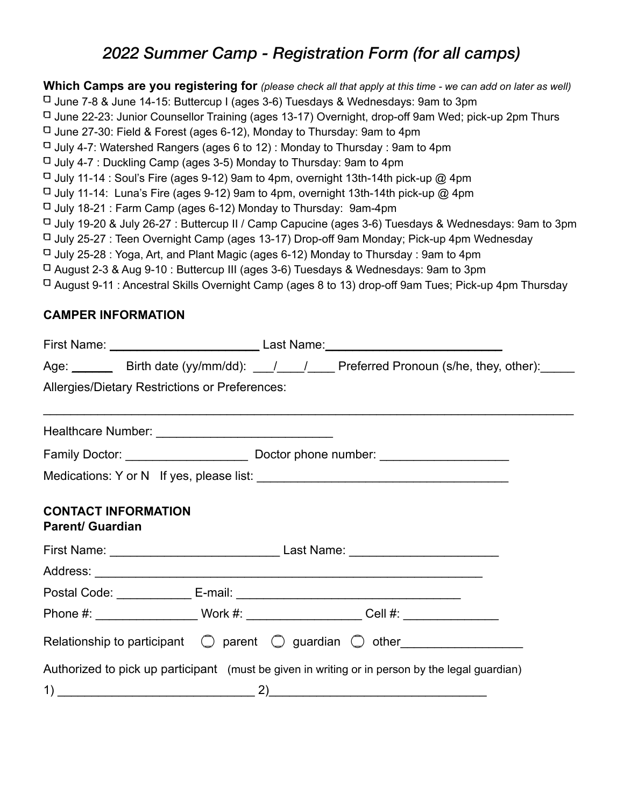## *2022 Summer Camp - Registration Form (for all camps)*

**Which Camps are you registering for** *(please check all that apply at this time - we can add on later as well)* June 7-8 & June 14-15: Buttercup I (ages 3-6) Tuesdays & Wednesdays: 9am to 3pm  $\Box$  June 22-23: Junior Counsellor Training (ages 13-17) Overnight, drop-off 9am Wed; pick-up 2pm Thurs  $\Box$  June 27-30: Field & Forest (ages 6-12), Monday to Thursday: 9am to 4pm  $\Box$  July 4-7: Watershed Rangers (ages 6 to 12): Monday to Thursday : 9am to 4pm  $\Box$  July 4-7 : Duckling Camp (ages 3-5) Monday to Thursday: 9am to 4pm  $\Box$  July 11-14 : Soul's Fire (ages 9-12) 9am to 4pm, overnight 13th-14th pick-up @ 4pm  $\Box$  July 11-14: Luna's Fire (ages 9-12) 9am to 4pm, overnight 13th-14th pick-up @ 4pm  $\Box$  July 18-21 : Farm Camp (ages 6-12) Monday to Thursday: 9am-4pm July 19-20 & July 26-27 : Buttercup II / Camp Capucine (ages 3-6) Tuesdays & Wednesdays: 9am to 3pm  $\Box$  July 25-27 : Teen Overnight Camp (ages 13-17) Drop-off 9am Monday; Pick-up 4pm Wednesday  $\Box$  July 25-28 : Yoga, Art, and Plant Magic (ages 6-12) Monday to Thursday : 9am to 4pm August 2-3 & Aug 9-10 : Buttercup III (ages 3-6) Tuesdays & Wednesdays: 9am to 3pm  $\Box$  August 9-11 : Ancestral Skills Overnight Camp (ages 8 to 13) drop-off 9am Tues; Pick-up 4pm Thursday

### **CAMPER INFORMATION**

|                         | Age: ________ Birth date (yy/mm/dd): ___/ ___/ ___ Preferred Pronoun (s/he, they, other): _____      |  |
|-------------------------|------------------------------------------------------------------------------------------------------|--|
|                         | Allergies/Dietary Restrictions or Preferences:                                                       |  |
|                         |                                                                                                      |  |
|                         |                                                                                                      |  |
|                         |                                                                                                      |  |
| <b>Parent/ Guardian</b> | <b>CONTACT INFORMATION</b>                                                                           |  |
|                         |                                                                                                      |  |
|                         |                                                                                                      |  |
|                         |                                                                                                      |  |
|                         | Phone #: ______________________Work #: _______________________Cell #: ______________________________ |  |
|                         | Relationship to participant $\bigcirc$ parent $\bigcirc$ guardian $\bigcirc$ other                   |  |
|                         | Authorized to pick up participant (must be given in writing or in person by the legal guardian)      |  |
|                         |                                                                                                      |  |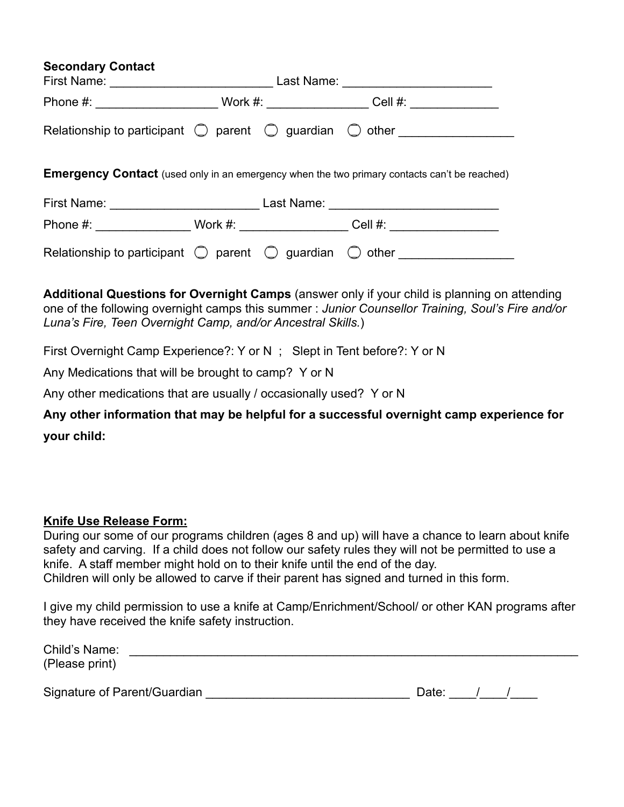| <b>Secondary Contact</b><br>First Name: Name: Name and South Assembly Name and South Assembly Name and Assembly Name and Assembly Name and Assembly Name and Assembly Name and Assembly Name and Assembly Name and Assembly Name and Assembly Name and Ass |  |  | Last Name: __________________________                                              |  |  |  |
|------------------------------------------------------------------------------------------------------------------------------------------------------------------------------------------------------------------------------------------------------------|--|--|------------------------------------------------------------------------------------|--|--|--|
|                                                                                                                                                                                                                                                            |  |  | Cell #: $\qquad \qquad \qquad$                                                     |  |  |  |
|                                                                                                                                                                                                                                                            |  |  | Relationship to participant $\bigcirc$ parent $\bigcirc$ guardian $\bigcirc$ other |  |  |  |
| <b>Emergency Contact</b> (used only in an emergency when the two primary contacts can't be reached)                                                                                                                                                        |  |  |                                                                                    |  |  |  |
|                                                                                                                                                                                                                                                            |  |  |                                                                                    |  |  |  |
|                                                                                                                                                                                                                                                            |  |  | Phone #: Work #: Cell #:                                                           |  |  |  |

Relationship to participant  $\bigcirc$  parent  $\bigcirc$  guardian  $\bigcirc$  other

**Additional Questions for Overnight Camps** (answer only if your child is planning on attending one of the following overnight camps this summer : *Junior Counsellor Training, Soul's Fire and/or Luna's Fire, Teen Overnight Camp, and/or Ancestral Skills.*)

First Overnight Camp Experience?: Y or N ; Slept in Tent before?: Y or N

Any Medications that will be brought to camp? Y or N

Any other medications that are usually / occasionally used? Y or N

**Any other information that may be helpful for a successful overnight camp experience for your child:** 

### **Knife Use Release Form:**

During our some of our programs children (ages 8 and up) will have a chance to learn about knife safety and carving. If a child does not follow our safety rules they will not be permitted to use a knife. A staff member might hold on to their knife until the end of the day. Children will only be allowed to carve if their parent has signed and turned in this form.

I give my child permission to use a knife at Camp/Enrichment/School/ or other KAN programs after they have received the knife safety instruction.

| Child's Name:                |       |  |
|------------------------------|-------|--|
| (Please print)               |       |  |
| Signature of Parent/Guardian | Date: |  |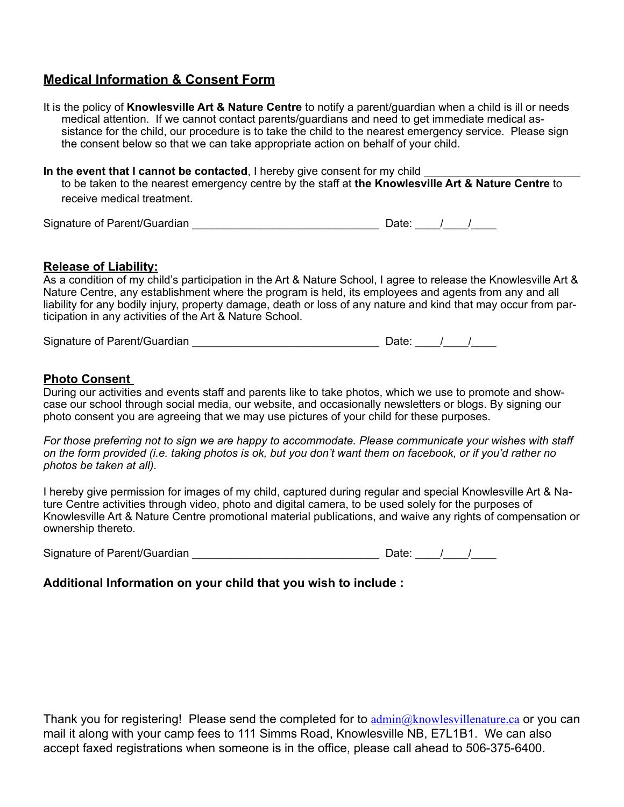### **Medical Information & Consent Form**

It is the policy of **Knowlesville Art & Nature Centre** to notify a parent/guardian when a child is ill or needs medical attention. If we cannot contact parents/guardians and need to get immediate medical assistance for the child, our procedure is to take the child to the nearest emergency service. Please sign the consent below so that we can take appropriate action on behalf of your child.

**In the event that I cannot be contacted**, I hereby give consent for my child to be taken to the nearest emergency centre by the staff at **the Knowlesville Art & Nature Centre** to receive medical treatment.

| Signature of Parent/Guardian | Date |  |  |
|------------------------------|------|--|--|
|                              |      |  |  |

#### **Release of Liability:**

As a condition of my child's participation in the Art & Nature School, I agree to release the Knowlesville Art & Nature Centre, any establishment where the program is held, its employees and agents from any and all liability for any bodily injury, property damage, death or loss of any nature and kind that may occur from participation in any activities of the Art & Nature School.

Signature of Parent/Guardian  $\frac{1}{\frac{1}{2} \cdot \frac{1}{2} \cdot \frac{1}{2} \cdot \frac{1}{2} \cdot \frac{1}{2} \cdot \frac{1}{2} \cdot \frac{1}{2} \cdot \frac{1}{2} \cdot \frac{1}{2} \cdot \frac{1}{2} \cdot \frac{1}{2} \cdot \frac{1}{2} \cdot \frac{1}{2} \cdot \frac{1}{2} \cdot \frac{1}{2} \cdot \frac{1}{2} \cdot \frac{1}{2} \cdot \frac{1}{2} \cdot \frac{1}{2} \cdot \frac{1}{2} \cdot \frac{1}{2$ 

#### **Photo Consent**

During our activities and events staff and parents like to take photos, which we use to promote and showcase our school through social media, our website, and occasionally newsletters or blogs. By signing our photo consent you are agreeing that we may use pictures of your child for these purposes.

*For those preferring not to sign we are happy to accommodate. Please communicate your wishes with staff on the form provided (i.e. taking photos is ok, but you don't want them on facebook, or if you'd rather no photos be taken at all).* 

I hereby give permission for images of my child, captured during regular and special Knowlesville Art & Nature Centre activities through video, photo and digital camera, to be used solely for the purposes of Knowlesville Art & Nature Centre promotional material publications, and waive any rights of compensation or ownership thereto.

Signature of Parent/Guardian  $\frac{1}{\frac{1}{2} \cdot \frac{1}{2} \cdot \frac{1}{2} \cdot \frac{1}{2} \cdot \frac{1}{2} \cdot \frac{1}{2} \cdot \frac{1}{2} \cdot \frac{1}{2} \cdot \frac{1}{2} \cdot \frac{1}{2} \cdot \frac{1}{2} \cdot \frac{1}{2} \cdot \frac{1}{2} \cdot \frac{1}{2} \cdot \frac{1}{2} \cdot \frac{1}{2} \cdot \frac{1}{2} \cdot \frac{1}{2} \cdot \frac{1}{2} \cdot \frac{1}{2} \cdot \frac{1}{2$ 

### **Additional Information on your child that you wish to include :**

Thank you for registering! Please send the completed for to  $\frac{\text{admin}(a)}{\text{chin}(a)}$  knowlesvillenature.ca or you can mail it along with your camp fees to 111 Simms Road, Knowlesville NB, E7L1B1. We can also accept faxed registrations when someone is in the office, please call ahead to 506-375-6400.